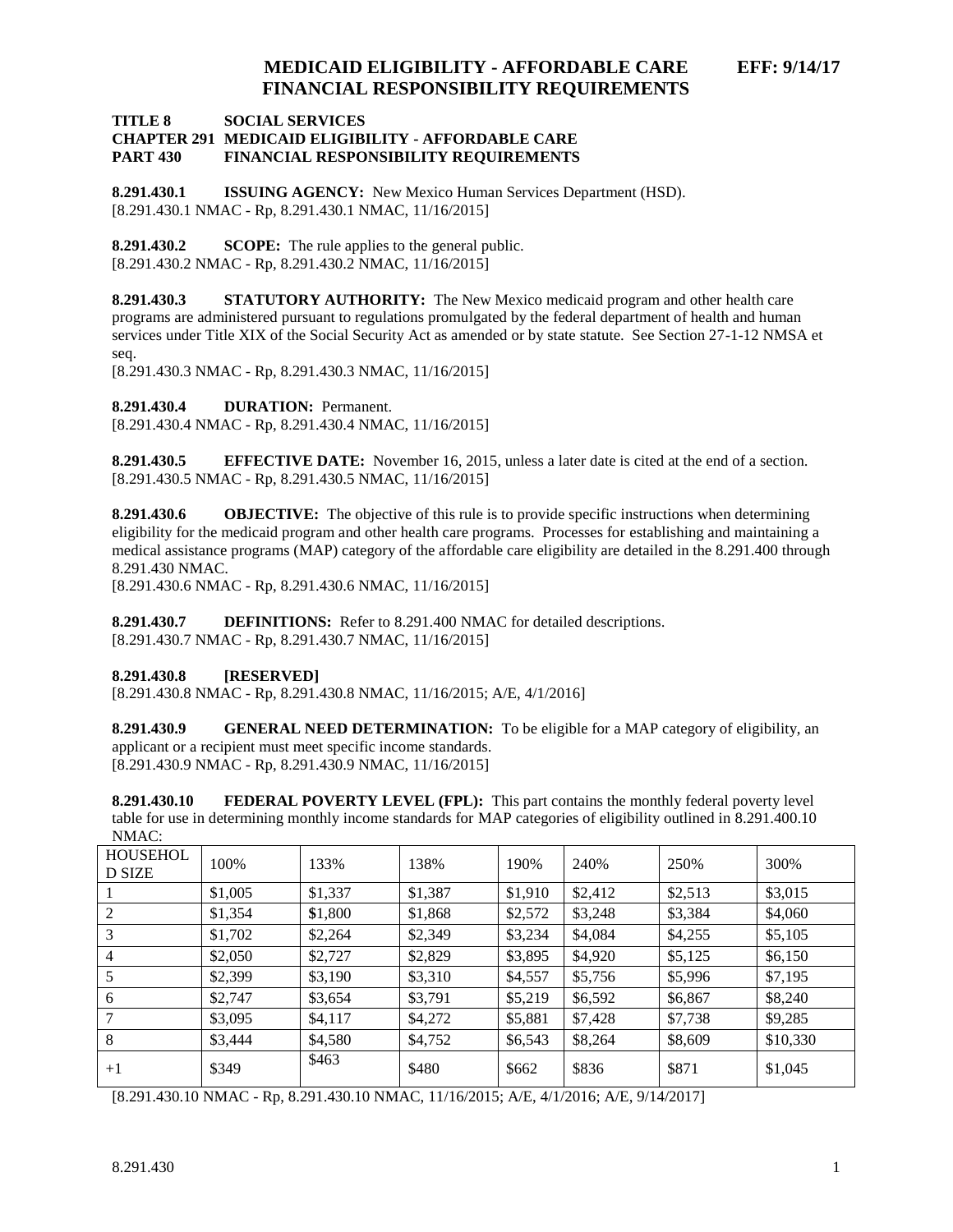**TITLE 8 SOCIAL SERVICES**

#### **CHAPTER 291 MEDICAID ELIGIBILITY - AFFORDABLE CARE PART 430 FINANCIAL RESPONSIBILITY REQUIREMENTS**

**8.291.430.1 ISSUING AGENCY:** New Mexico Human Services Department (HSD). [8.291.430.1 NMAC - Rp, 8.291.430.1 NMAC, 11/16/2015]

**8.291.430.2 SCOPE:** The rule applies to the general public. [8.291.430.2 NMAC - Rp, 8.291.430.2 NMAC, 11/16/2015]

**8.291.430.3 STATUTORY AUTHORITY:** The New Mexico medicaid program and other health care programs are administered pursuant to regulations promulgated by the federal department of health and human services under Title XIX of the Social Security Act as amended or by state statute. See Section 27-1-12 NMSA et seq.

[8.291.430.3 NMAC - Rp, 8.291.430.3 NMAC, 11/16/2015]

**8.291.430.4 DURATION:** Permanent.

[8.291.430.4 NMAC - Rp, 8.291.430.4 NMAC, 11/16/2015]

**8.291.430.5 EFFECTIVE DATE:** November 16, 2015, unless a later date is cited at the end of a section. [8.291.430.5 NMAC - Rp, 8.291.430.5 NMAC, 11/16/2015]

**8.291.430.6 OBJECTIVE:** The objective of this rule is to provide specific instructions when determining eligibility for the medicaid program and other health care programs. Processes for establishing and maintaining a medical assistance programs (MAP) category of the affordable care eligibility are detailed in the 8.291.400 through 8.291.430 NMAC.

[8.291.430.6 NMAC - Rp, 8.291.430.6 NMAC, 11/16/2015]

**8.291.430.7 DEFINITIONS:** Refer to 8.291.400 NMAC for detailed descriptions. [8.291.430.7 NMAC - Rp, 8.291.430.7 NMAC, 11/16/2015]

### **8.291.430.8 [RESERVED]**

[8.291.430.8 NMAC - Rp, 8.291.430.8 NMAC, 11/16/2015; A/E, 4/1/2016]

**8.291.430.9 GENERAL NEED DETERMINATION:** To be eligible for a MAP category of eligibility, an applicant or a recipient must meet specific income standards. [8.291.430.9 NMAC - Rp, 8.291.430.9 NMAC, 11/16/2015]

**8.291.430.10 FEDERAL POVERTY LEVEL (FPL):** This part contains the monthly federal poverty level table for use in determining monthly income standards for MAP categories of eligibility outlined in 8.291.400.10 NMAC:

| .<br><b>HOUSEHOL</b><br><b>D SIZE</b> | 100%    | 133%    | 138%    | 190%    | 240%    | 250%    | 300%     |
|---------------------------------------|---------|---------|---------|---------|---------|---------|----------|
|                                       | \$1,005 | \$1,337 | \$1,387 | \$1,910 | \$2,412 | \$2,513 | \$3,015  |
| 2                                     | \$1,354 | \$1,800 | \$1,868 | \$2,572 | \$3,248 | \$3,384 | \$4,060  |
| 3                                     | \$1,702 | \$2,264 | \$2,349 | \$3,234 | \$4,084 | \$4,255 | \$5,105  |
| 4                                     | \$2,050 | \$2,727 | \$2,829 | \$3,895 | \$4,920 | \$5,125 | \$6,150  |
| 5                                     | \$2,399 | \$3,190 | \$3,310 | \$4,557 | \$5,756 | \$5,996 | \$7,195  |
| 6                                     | \$2,747 | \$3,654 | \$3,791 | \$5,219 | \$6,592 | \$6,867 | \$8,240  |
|                                       | \$3,095 | \$4,117 | \$4,272 | \$5,881 | \$7,428 | \$7,738 | \$9,285  |
| 8                                     | \$3,444 | \$4,580 | \$4,752 | \$6,543 | \$8,264 | \$8,609 | \$10,330 |
| $+1$                                  | \$349   | \$463   | \$480   | \$662   | \$836   | \$871   | \$1,045  |

[8.291.430.10 NMAC - Rp, 8.291.430.10 NMAC, 11/16/2015; A/E, 4/1/2016; A/E, 9/14/2017]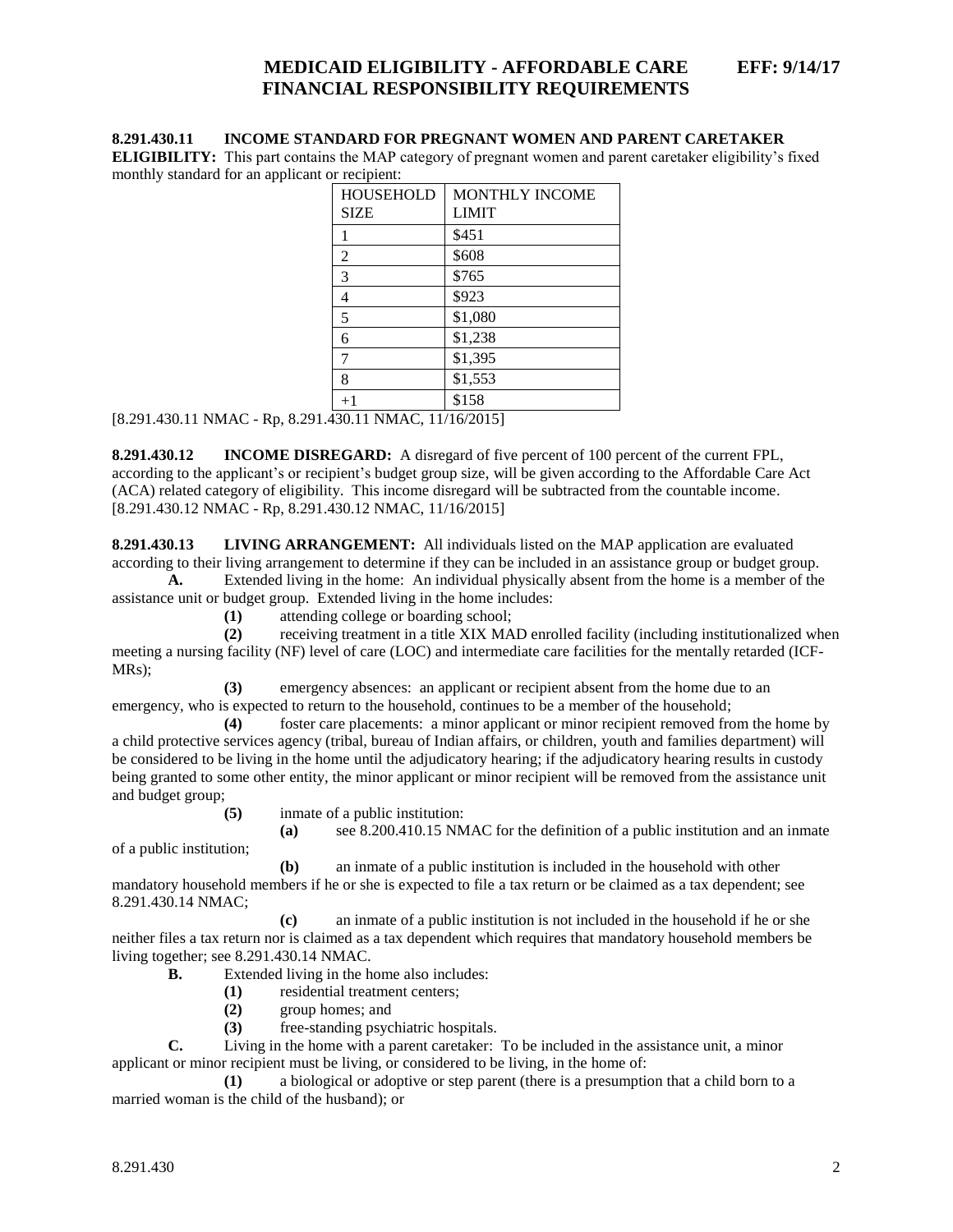#### **8.291.430.11 INCOME STANDARD FOR PREGNANT WOMEN AND PARENT CARETAKER**

**ELIGIBILITY:** This part contains the MAP category of pregnant women and parent caretaker eligibility's fixed monthly standard for an applicant or recipient:

| <b>HOUSEHOLD</b> | <b>MONTHLY INCOME</b> |  |  |  |  |
|------------------|-----------------------|--|--|--|--|
| <b>SIZE</b>      | <b>LIMIT</b>          |  |  |  |  |
| 1                | \$451                 |  |  |  |  |
| 2                | \$608                 |  |  |  |  |
| $\overline{3}$   | \$765                 |  |  |  |  |
| 4                | \$923                 |  |  |  |  |
| 5                | \$1,080               |  |  |  |  |
| 6                | \$1,238               |  |  |  |  |
| $\overline{7}$   | \$1,395               |  |  |  |  |
| 8                | \$1,553               |  |  |  |  |
| $+1$             | \$158                 |  |  |  |  |
|                  |                       |  |  |  |  |

[8.291.430.11 NMAC - Rp, 8.291.430.11 NMAC, 11/16/2015]

**8.291.430.12 INCOME DISREGARD:** A disregard of five percent of 100 percent of the current FPL, according to the applicant's or recipient's budget group size, will be given according to the Affordable Care Act (ACA) related category of eligibility. This income disregard will be subtracted from the countable income. [8.291.430.12 NMAC - Rp, 8.291.430.12 NMAC, 11/16/2015]

**8.291.430.13 LIVING ARRANGEMENT:** All individuals listed on the MAP application are evaluated according to their living arrangement to determine if they can be included in an assistance group or budget group.

**A.** Extended living in the home: An individual physically absent from the home is a member of the assistance unit or budget group. Extended living in the home includes:

**(1)** attending college or boarding school;

**(2)** receiving treatment in a title XIX MAD enrolled facility (including institutionalized when meeting a nursing facility (NF) level of care (LOC) and intermediate care facilities for the mentally retarded (ICF-MRs);

**(3)** emergency absences: an applicant or recipient absent from the home due to an emergency, who is expected to return to the household, continues to be a member of the household;

**(4)** foster care placements: a minor applicant or minor recipient removed from the home by a child protective services agency (tribal, bureau of Indian affairs, or children, youth and families department) will be considered to be living in the home until the adjudicatory hearing; if the adjudicatory hearing results in custody being granted to some other entity, the minor applicant or minor recipient will be removed from the assistance unit and budget group;

**(5)** inmate of a public institution:

**(a)** see 8.200.410.15 NMAC for the definition of a public institution and an inmate

of a public institution;

**(b)** an inmate of a public institution is included in the household with other mandatory household members if he or she is expected to file a tax return or be claimed as a tax dependent; see 8.291.430.14 NMAC;

**(c)** an inmate of a public institution is not included in the household if he or she neither files a tax return nor is claimed as a tax dependent which requires that mandatory household members be living together; see 8.291.430.14 NMAC.

**B.** Extended living in the home also includes:

- **(1)** residential treatment centers;
- **(2)** group homes; and
- **(3)** free-standing psychiatric hospitals.

**C.** Living in the home with a parent caretaker: To be included in the assistance unit, a minor applicant or minor recipient must be living, or considered to be living, in the home of:

**(1)** a biological or adoptive or step parent (there is a presumption that a child born to a married woman is the child of the husband); or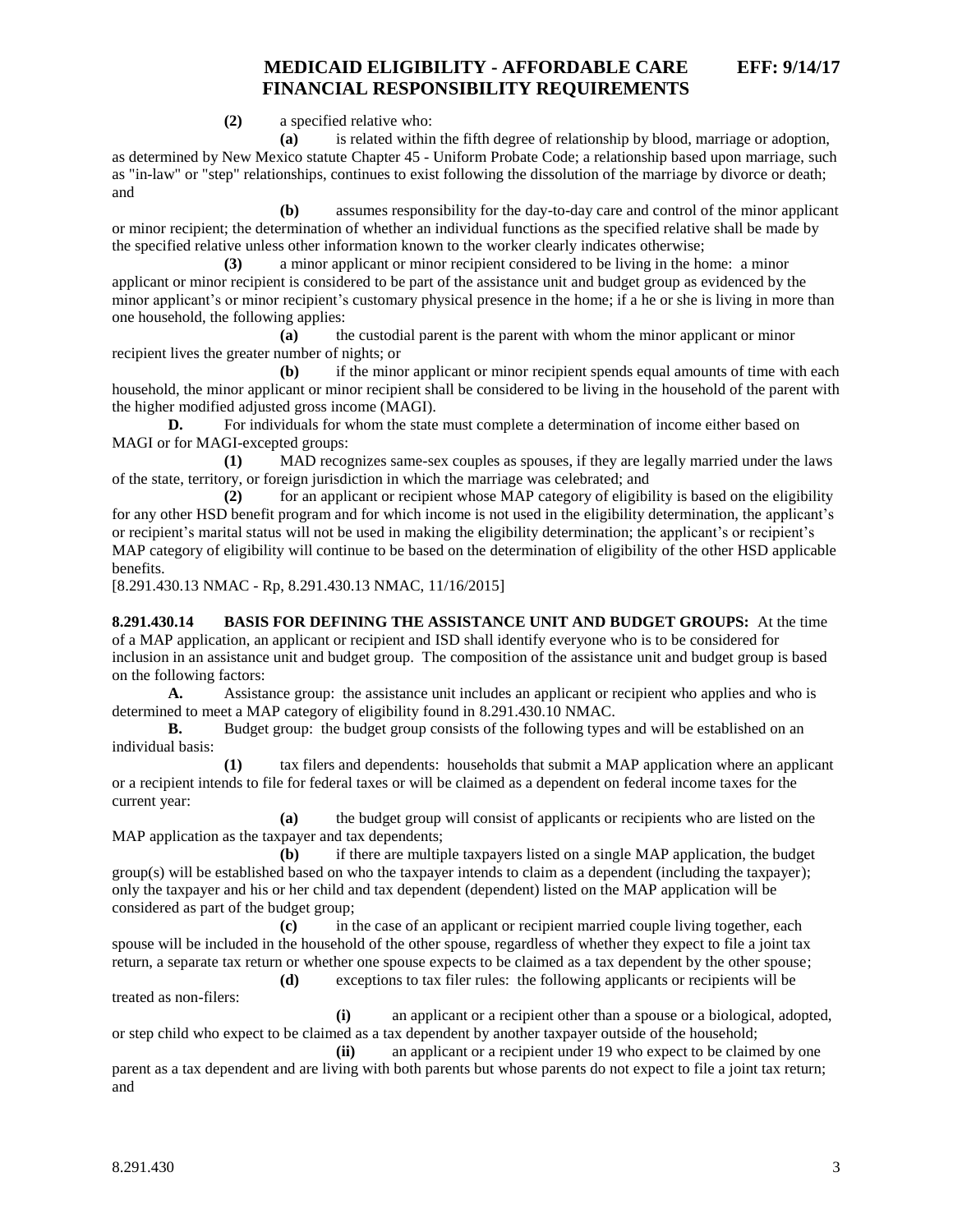**(2)** a specified relative who:

**(a)** is related within the fifth degree of relationship by blood, marriage or adoption, as determined by New Mexico statute Chapter 45 - Uniform Probate Code; a relationship based upon marriage, such as "in-law" or "step" relationships, continues to exist following the dissolution of the marriage by divorce or death; and

**(b)** assumes responsibility for the day-to-day care and control of the minor applicant or minor recipient; the determination of whether an individual functions as the specified relative shall be made by the specified relative unless other information known to the worker clearly indicates otherwise;

**(3)** a minor applicant or minor recipient considered to be living in the home: a minor applicant or minor recipient is considered to be part of the assistance unit and budget group as evidenced by the minor applicant's or minor recipient's customary physical presence in the home; if a he or she is living in more than one household, the following applies:

**(a)** the custodial parent is the parent with whom the minor applicant or minor recipient lives the greater number of nights; or

**(b)** if the minor applicant or minor recipient spends equal amounts of time with each household, the minor applicant or minor recipient shall be considered to be living in the household of the parent with the higher modified adjusted gross income (MAGI).

**D.** For individuals for whom the state must complete a determination of income either based on MAGI or for MAGI-excepted groups:

**(1)** MAD recognizes same-sex couples as spouses, if they are legally married under the laws of the state, territory, or foreign jurisdiction in which the marriage was celebrated; and

**(2)** for an applicant or recipient whose MAP category of eligibility is based on the eligibility for any other HSD benefit program and for which income is not used in the eligibility determination, the applicant's or recipient's marital status will not be used in making the eligibility determination; the applicant's or recipient's MAP category of eligibility will continue to be based on the determination of eligibility of the other HSD applicable benefits.

[8.291.430.13 NMAC - Rp, 8.291.430.13 NMAC, 11/16/2015]

**8.291.430.14 BASIS FOR DEFINING THE ASSISTANCE UNIT AND BUDGET GROUPS:** At the time of a MAP application, an applicant or recipient and ISD shall identify everyone who is to be considered for inclusion in an assistance unit and budget group. The composition of the assistance unit and budget group is based on the following factors:

**A.** Assistance group: the assistance unit includes an applicant or recipient who applies and who is determined to meet a MAP category of eligibility found in 8.291.430.10 NMAC.

**B.** Budget group: the budget group consists of the following types and will be established on an individual basis:

**(1)** tax filers and dependents: households that submit a MAP application where an applicant or a recipient intends to file for federal taxes or will be claimed as a dependent on federal income taxes for the current year:

**(a)** the budget group will consist of applicants or recipients who are listed on the MAP application as the taxpayer and tax dependents;

**(b)** if there are multiple taxpayers listed on a single MAP application, the budget group(s) will be established based on who the taxpayer intends to claim as a dependent (including the taxpayer); only the taxpayer and his or her child and tax dependent (dependent) listed on the MAP application will be considered as part of the budget group;

**(c)** in the case of an applicant or recipient married couple living together, each spouse will be included in the household of the other spouse, regardless of whether they expect to file a joint tax return, a separate tax return or whether one spouse expects to be claimed as a tax dependent by the other spouse; **(d)** exceptions to tax filer rules: the following applicants or recipients will be

treated as non-filers:

**(i)** an applicant or a recipient other than a spouse or a biological, adopted, or step child who expect to be claimed as a tax dependent by another taxpayer outside of the household;

**(ii)** an applicant or a recipient under 19 who expect to be claimed by one parent as a tax dependent and are living with both parents but whose parents do not expect to file a joint tax return; and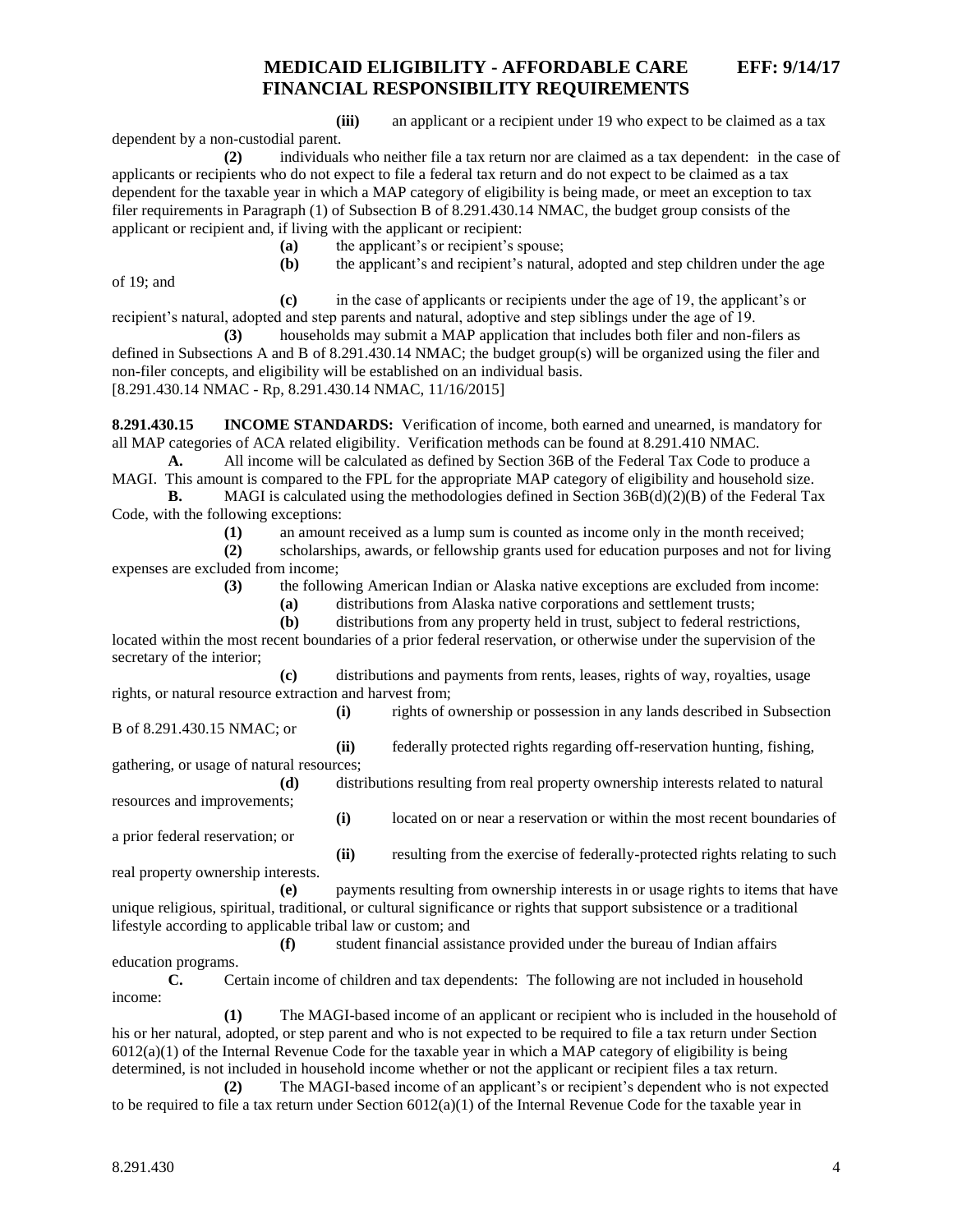**(iii)** an applicant or a recipient under 19 who expect to be claimed as a tax

**(2)** individuals who neither file a tax return nor are claimed as a tax dependent: in the case of applicants or recipients who do not expect to file a federal tax return and do not expect to be claimed as a tax dependent for the taxable year in which a MAP category of eligibility is being made, or meet an exception to tax filer requirements in Paragraph (1) of Subsection B of 8.291.430.14 NMAC, the budget group consists of the applicant or recipient and, if living with the applicant or recipient:

**(a)** the applicant's or recipient's spouse;

of 19; and

dependent by a non-custodial parent.

**(b)** the applicant's and recipient's natural, adopted and step children under the age **(c)** in the case of applicants or recipients under the age of 19, the applicant's or

recipient's natural, adopted and step parents and natural, adoptive and step siblings under the age of 19.

**(3)** households may submit a MAP application that includes both filer and non-filers as defined in Subsections A and B of 8.291.430.14 NMAC; the budget group(s) will be organized using the filer and non-filer concepts, and eligibility will be established on an individual basis. [8.291.430.14 NMAC - Rp, 8.291.430.14 NMAC, 11/16/2015]

**8.291.430.15 INCOME STANDARDS:** Verification of income, both earned and unearned, is mandatory for all MAP categories of ACA related eligibility. Verification methods can be found at 8.291.410 NMAC.

**A.** All income will be calculated as defined by Section 36B of the Federal Tax Code to produce a MAGI. This amount is compared to the FPL for the appropriate MAP category of eligibility and household size.

**B.** MAGI is calculated using the methodologies defined in Section 36B(d)(2)(B) of the Federal Tax Code, with the following exceptions:

**(1)** an amount received as a lump sum is counted as income only in the month received;

**(2)** scholarships, awards, or fellowship grants used for education purposes and not for living expenses are excluded from income;

**(3)** the following American Indian or Alaska native exceptions are excluded from income:

**(a)** distributions from Alaska native corporations and settlement trusts;

**(b)** distributions from any property held in trust, subject to federal restrictions, located within the most recent boundaries of a prior federal reservation, or otherwise under the supervision of the secretary of the interior;

**(c)** distributions and payments from rents, leases, rights of way, royalties, usage rights, or natural resource extraction and harvest from;

**(i)** rights of ownership or possession in any lands described in Subsection B of 8.291.430.15 NMAC; or

**(ii)** federally protected rights regarding off-reservation hunting, fishing, gathering, or usage of natural resources;

**(d)** distributions resulting from real property ownership interests related to natural resources and improvements;

**(i)** located on or near a reservation or within the most recent boundaries of a prior federal reservation; or

**(ii)** resulting from the exercise of federally-protected rights relating to such real property ownership interests.

**(e)** payments resulting from ownership interests in or usage rights to items that have unique religious, spiritual, traditional, or cultural significance or rights that support subsistence or a traditional lifestyle according to applicable tribal law or custom; and

**(f)** student financial assistance provided under the bureau of Indian affairs education programs.

**C.** Certain income of children and tax dependents: The following are not included in household income:

**(1)** The MAGI-based income of an applicant or recipient who is included in the household of his or her natural, adopted, or step parent and who is not expected to be required to file a tax return under Section  $6012(a)(1)$  of the Internal Revenue Code for the taxable year in which a MAP category of eligibility is being determined, is not included in household income whether or not the applicant or recipient files a tax return.

**(2)** The MAGI-based income of an applicant's or recipient's dependent who is not expected to be required to file a tax return under Section  $6012(a)(1)$  of the Internal Revenue Code for the taxable year in